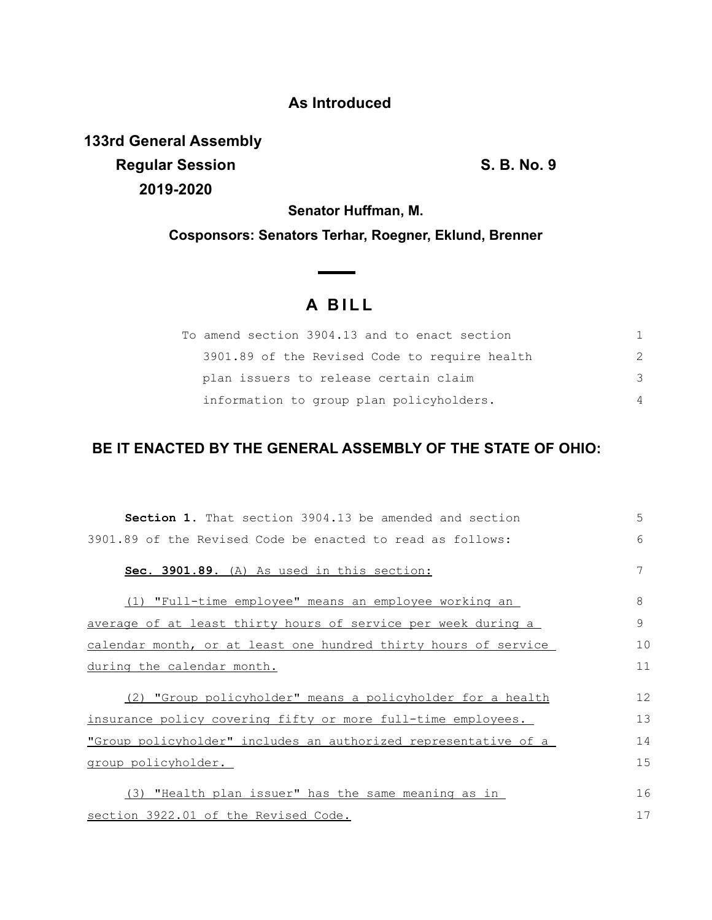### **As Introduced**

**133rd General Assembly Regular Session S. B. No. 9 2019-2020**

**Senator Huffman, M.**

**Cosponsors: Senators Terhar, Roegner, Eklund, Brenner**

# **A B I L L**

| To amend section 3904.13 and to enact section |    |
|-----------------------------------------------|----|
| 3901.89 of the Revised Code to require health |    |
| plan issuers to release certain claim         | -२ |
| information to group plan policyholders.      |    |

## **BE IT ENACTED BY THE GENERAL ASSEMBLY OF THE STATE OF OHIO:**

| <b>Section 1.</b> That section 3904.13 be amended and section   | 5  |
|-----------------------------------------------------------------|----|
| 3901.89 of the Revised Code be enacted to read as follows:      | 6  |
| Sec. 3901.89. (A) As used in this section:                      | 7  |
| (1) "Full-time employee" means an employee working an           | 8  |
| average of at least thirty hours of service per week during a   | 9  |
| calendar month, or at least one hundred thirty hours of service | 10 |
| during the calendar month.                                      | 11 |
| (2) "Group policyholder" means a policyholder for a health      | 12 |
| insurance policy covering fifty or more full-time employees.    | 13 |
| "Group policyholder" includes an authorized representative of a | 14 |
| group policyholder.                                             | 15 |
| (3) "Health plan issuer" has the same meaning as in             | 16 |
| section 3922.01 of the Revised Code.                            | 17 |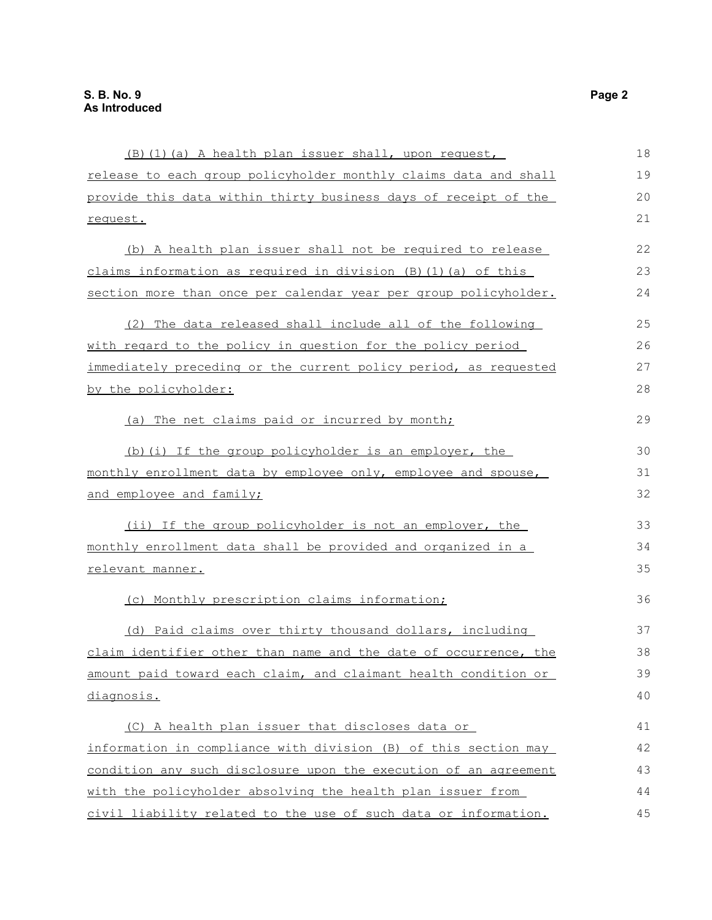| (B) (1) (a) A health plan issuer shall, upon request,                | 18 |
|----------------------------------------------------------------------|----|
| release to each group policyholder monthly claims data and shall     | 19 |
| provide this data within thirty business days of receipt of the      | 20 |
| request.                                                             | 21 |
| (b) A health plan issuer shall not be required to release            | 22 |
| claims information as required in division $(B)$ $(1)$ $(a)$ of this | 23 |
| section more than once per calendar year per group policyholder.     | 24 |
| (2) The data released shall include all of the following             | 25 |
| with regard to the policy in question for the policy period          | 26 |
| immediately preceding or the current policy period, as requested     | 27 |
| by the policyholder:                                                 | 28 |
| (a) The net claims paid or incurred by month;                        | 29 |
| (b) (i) If the group policyholder is an employer, the                | 30 |
| monthly enrollment data by employee only, employee and spouse,       | 31 |
| and employee and family;                                             | 32 |
| (ii) If the group policyholder is not an employer, the               | 33 |
| monthly enrollment data shall be provided and organized in a         | 34 |
| relevant manner.                                                     | 35 |
| (c) Monthly prescription claims information;                         | 36 |
| (d) Paid claims over thirty thousand dollars, including              | 37 |
| claim identifier other than name and the date of occurrence, the     | 38 |
| amount paid toward each claim, and claimant health condition or      | 39 |
| diagnosis.                                                           | 40 |
| (C) A health plan issuer that discloses data or                      | 41 |
| information in compliance with division (B) of this section may      | 42 |
| condition any such disclosure upon the execution of an agreement     | 43 |
| with the policyholder absolving the health plan issuer from          | 44 |
| civil liability related to the use of such data or information.      | 45 |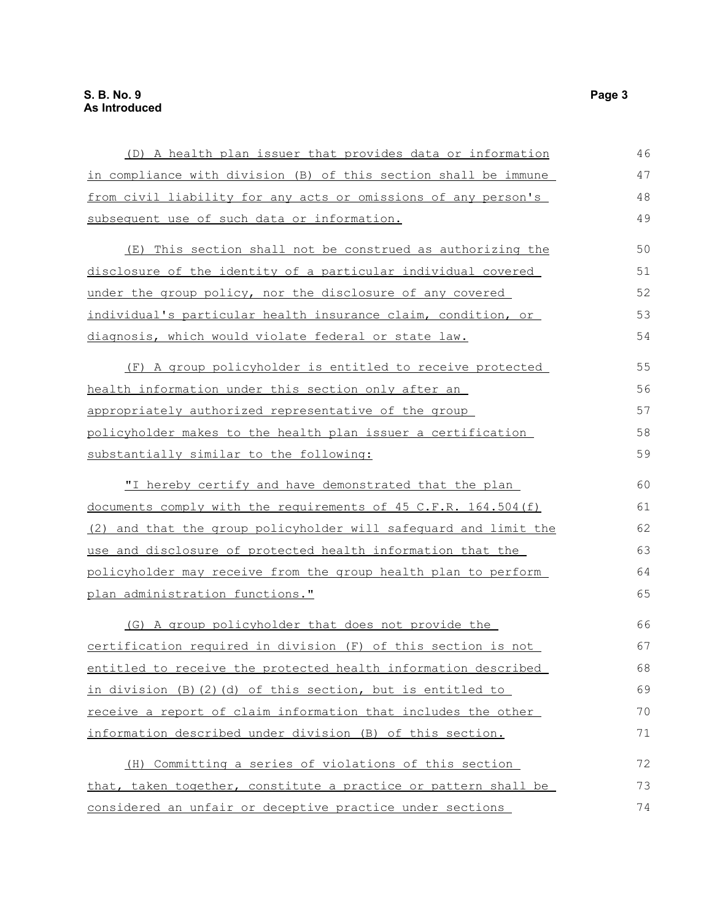| (D) A health plan issuer that provides data or information       | 46 |
|------------------------------------------------------------------|----|
| in compliance with division (B) of this section shall be immune  | 47 |
| from civil liability for any acts or omissions of any person's   | 48 |
| subsequent use of such data or information.                      | 49 |
| (E) This section shall not be construed as authorizing the       | 50 |
| disclosure of the identity of a particular individual covered    | 51 |
| under the group policy, nor the disclosure of any covered        | 52 |
| individual's particular health insurance claim, condition, or    | 53 |
| diagnosis, which would violate federal or state law.             | 54 |
| (F) A group policyholder is entitled to receive protected        | 55 |
| health information under this section only after an              | 56 |
| appropriately authorized representative of the group             | 57 |
| policyholder makes to the health plan issuer a certification     | 58 |
| substantially similar to the following:                          | 59 |
| "I hereby certify and have demonstrated that the plan            | 60 |
| documents comply with the requirements of 45 C.F.R. 164.504(f)   | 61 |
| (2) and that the group policyholder will safequard and limit the | 62 |
| use and disclosure of protected health information that the      | 63 |
| policyholder may receive from the group health plan to perform   | 64 |
| plan administration functions."                                  | 65 |
| (G) A group policyholder that does not provide the               | 66 |
| certification required in division (F) of this section is not    | 67 |
| entitled to receive the protected health information described   | 68 |
| in division (B) (2) (d) of this section, but is entitled to      | 69 |
| receive a report of claim information that includes the other    | 70 |
| information described under division (B) of this section.        | 71 |
| (H) Committing a series of violations of this section            | 72 |
| that, taken together, constitute a practice or pattern shall be  | 73 |
| considered an unfair or deceptive practice under sections        | 74 |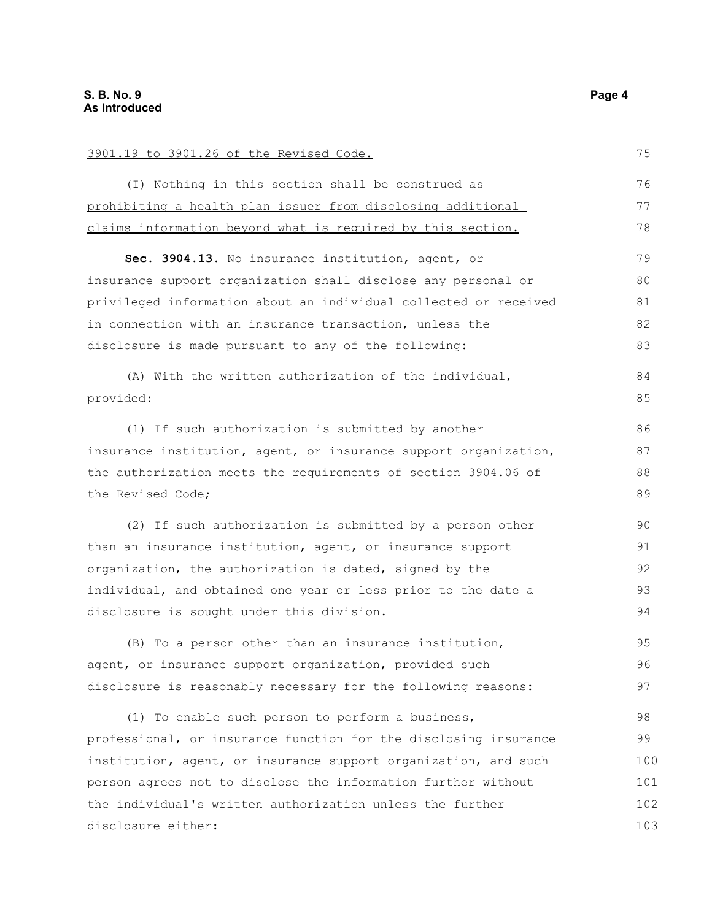| 3901.19 to 3901.26 of the Revised Code.                          | 75  |
|------------------------------------------------------------------|-----|
| (I) Nothing in this section shall be construed as                | 76  |
| prohibiting a health plan issuer from disclosing additional      | 77  |
| claims information beyond what is required by this section.      | 78  |
| Sec. 3904.13. No insurance institution, agent, or                | 79  |
| insurance support organization shall disclose any personal or    | 80  |
| privileged information about an individual collected or received | 81  |
| in connection with an insurance transaction, unless the          | 82  |
| disclosure is made pursuant to any of the following:             | 83  |
| (A) With the written authorization of the individual,            | 84  |
| provided:                                                        | 85  |
| (1) If such authorization is submitted by another                | 86  |
| insurance institution, agent, or insurance support organization, | 87  |
| the authorization meets the requirements of section 3904.06 of   | 88  |
| the Revised Code;                                                | 89  |
| (2) If such authorization is submitted by a person other         | 90  |
| than an insurance institution, agent, or insurance support       | 91  |
| organization, the authorization is dated, signed by the          | 92  |
| individual, and obtained one year or less prior to the date a    | 93  |
| disclosure is sought under this division.                        | 94  |
| (B) To a person other than an insurance institution,             | 95  |
| agent, or insurance support organization, provided such          | 96  |
| disclosure is reasonably necessary for the following reasons:    | 97  |
| (1) To enable such person to perform a business,                 | 98  |
| professional, or insurance function for the disclosing insurance | 99  |
| institution, agent, or insurance support organization, and such  | 100 |
| person agrees not to disclose the information further without    | 101 |
| the individual's written authorization unless the further        | 102 |
| disclosure either:                                               | 103 |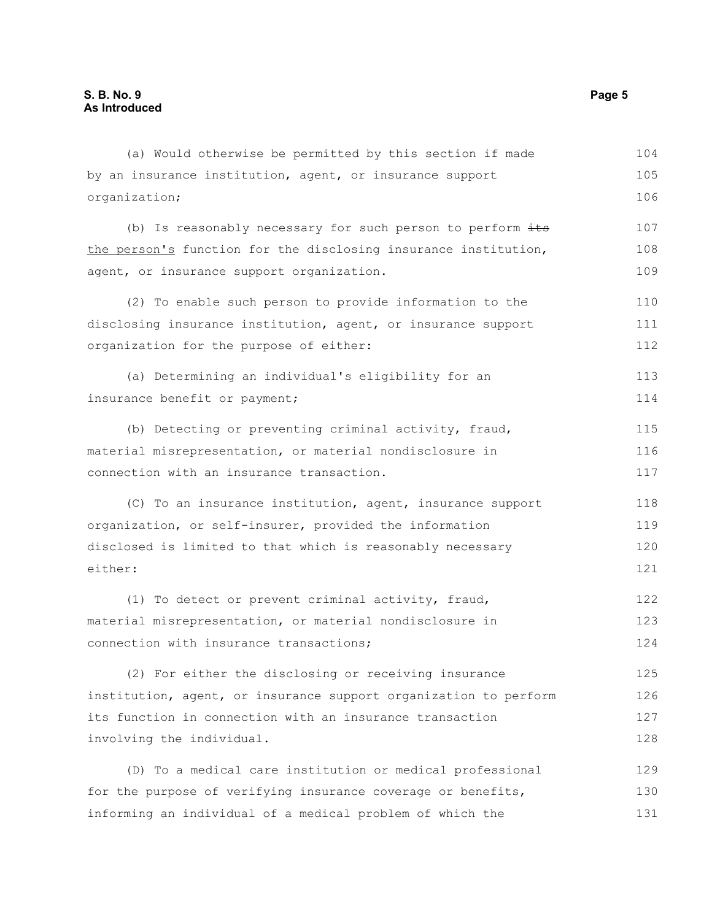| (a) Would otherwise be permitted by this section if made         | 104 |
|------------------------------------------------------------------|-----|
| by an insurance institution, agent, or insurance support         | 105 |
| organization;                                                    | 106 |
| (b) Is reasonably necessary for such person to perform its       | 107 |
| the person's function for the disclosing insurance institution,  | 108 |
| agent, or insurance support organization.                        | 109 |
| (2) To enable such person to provide information to the          | 110 |
| disclosing insurance institution, agent, or insurance support    | 111 |
| organization for the purpose of either:                          | 112 |
| (a) Determining an individual's eligibility for an               | 113 |
| insurance benefit or payment;                                    | 114 |
| (b) Detecting or preventing criminal activity, fraud,            | 115 |
| material misrepresentation, or material nondisclosure in         | 116 |
| connection with an insurance transaction.                        | 117 |
| (C) To an insurance institution, agent, insurance support        | 118 |
| organization, or self-insurer, provided the information          | 119 |
| disclosed is limited to that which is reasonably necessary       |     |
| either:                                                          | 121 |
| (1) To detect or prevent criminal activity, fraud,               | 122 |
| material misrepresentation, or material nondisclosure in         | 123 |
| connection with insurance transactions;                          | 124 |
| (2) For either the disclosing or receiving insurance             | 125 |
| institution, agent, or insurance support organization to perform | 126 |
| its function in connection with an insurance transaction         | 127 |
| involving the individual.                                        | 128 |
| (D) To a medical care institution or medical professional        | 129 |
| for the purpose of verifying insurance coverage or benefits,     | 130 |
| informing an individual of a medical problem of which the        | 131 |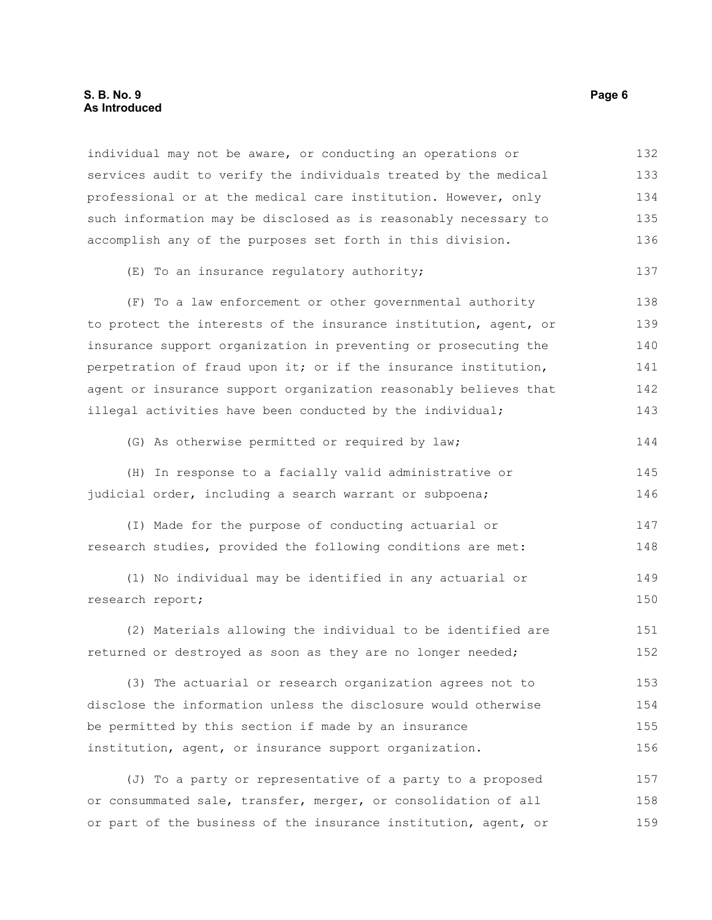#### **S. B. No. 9 Page 6 As Introduced**

individual may not be aware, or conducting an operations or services audit to verify the individuals treated by the medical professional or at the medical care institution. However, only such information may be disclosed as is reasonably necessary to accomplish any of the purposes set forth in this division. 132 133 134 135 136

#### (E) To an insurance regulatory authority;

(F) To a law enforcement or other governmental authority to protect the interests of the insurance institution, agent, or insurance support organization in preventing or prosecuting the perpetration of fraud upon it; or if the insurance institution, agent or insurance support organization reasonably believes that illegal activities have been conducted by the individual; 138 139 140 141 142 143

(G) As otherwise permitted or required by law;

(H) In response to a facially valid administrative or judicial order, including a search warrant or subpoena; 145 146

(I) Made for the purpose of conducting actuarial or research studies, provided the following conditions are met: 147 148

(1) No individual may be identified in any actuarial or research report; 149 150

(2) Materials allowing the individual to be identified are returned or destroyed as soon as they are no longer needed; 151 152

(3) The actuarial or research organization agrees not to disclose the information unless the disclosure would otherwise be permitted by this section if made by an insurance institution, agent, or insurance support organization. 153 154 155 156

(J) To a party or representative of a party to a proposed or consummated sale, transfer, merger, or consolidation of all or part of the business of the insurance institution, agent, or 157 158 159

137

144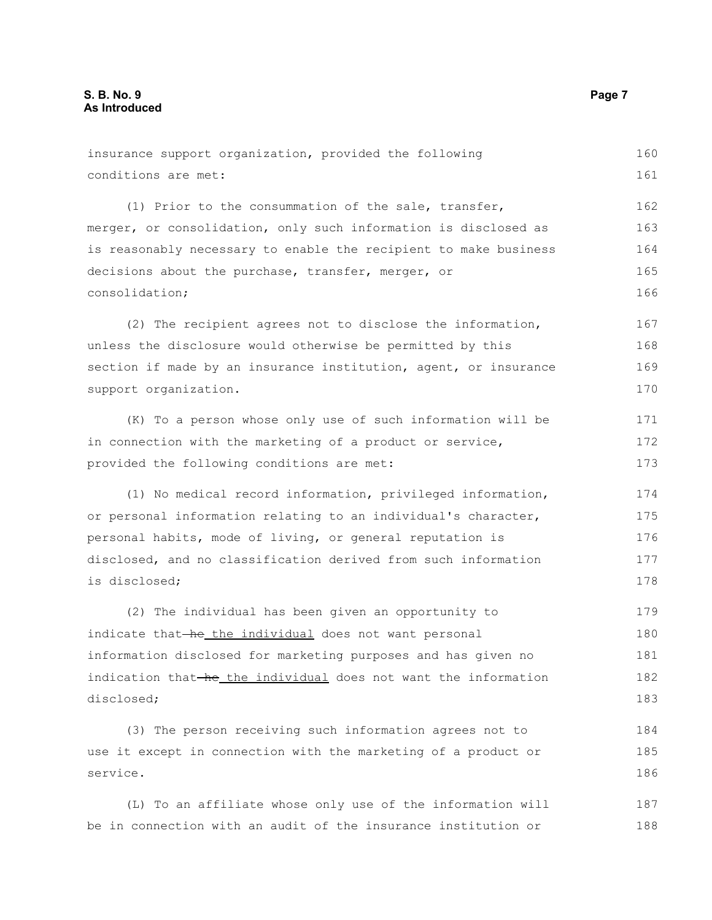| insurance support organization, provided the following           | 160 |
|------------------------------------------------------------------|-----|
| conditions are met:                                              | 161 |
| (1) Prior to the consummation of the sale, transfer,             | 162 |
| merger, or consolidation, only such information is disclosed as  | 163 |
| is reasonably necessary to enable the recipient to make business | 164 |
| decisions about the purchase, transfer, merger, or               | 165 |
| consolidation;                                                   | 166 |
| (2) The recipient agrees not to disclose the information,        | 167 |
| unless the disclosure would otherwise be permitted by this       | 168 |
| section if made by an insurance institution, agent, or insurance | 169 |
| support organization.                                            | 170 |
| (K) To a person whose only use of such information will be       | 171 |
| in connection with the marketing of a product or service,        | 172 |
| provided the following conditions are met:                       | 173 |
| (1) No medical record information, privileged information,       | 174 |
| or personal information relating to an individual's character,   | 175 |
| personal habits, mode of living, or general reputation is        | 176 |
| disclosed, and no classification derived from such information   | 177 |
| is disclosed;                                                    | 178 |
| (2) The individual has been given an opportunity to              | 179 |
| indicate that-he the individual does not want personal           | 180 |
| information disclosed for marketing purposes and has given no    | 181 |
| indication that-he_the individual does not want the information  | 182 |
| disclosed;                                                       | 183 |
| (3) The person receiving such information agrees not to          | 184 |
| use it except in connection with the marketing of a product or   | 185 |
| service.                                                         | 186 |
| (L) To an affiliate whose only use of the information will       | 187 |
| be in connection with an audit of the insurance institution or   | 188 |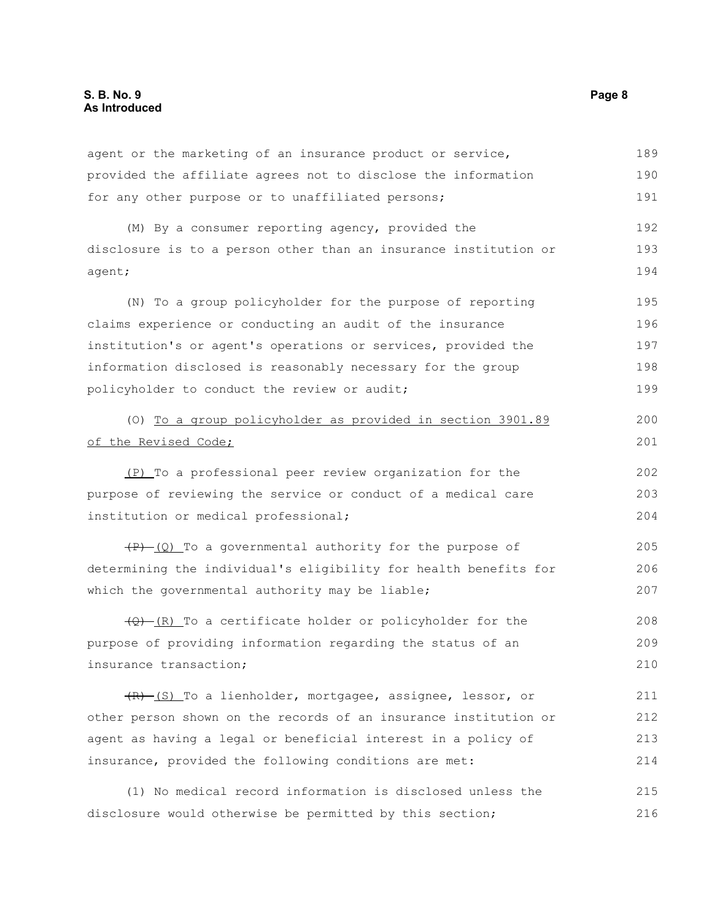agent or the marketing of an insurance product or service, provided the affiliate agrees not to disclose the information for any other purpose or to unaffiliated persons; (M) By a consumer reporting agency, provided the disclosure is to a person other than an insurance institution or agent; (N) To a group policyholder for the purpose of reporting claims experience or conducting an audit of the insurance institution's or agent's operations or services, provided the information disclosed is reasonably necessary for the group policyholder to conduct the review or audit; (O) To a group policyholder as provided in section 3901.89 of the Revised Code; (P) To a professional peer review organization for the purpose of reviewing the service or conduct of a medical care institution or medical professional;  $(P)$  (Q) To a governmental authority for the purpose of determining the individual's eligibility for health benefits for which the governmental authority may be liable;  $(Q)$  (R) To a certificate holder or policyholder for the purpose of providing information regarding the status of an insurance transaction; (R) (S) To a lienholder, mortgagee, assignee, lessor, or other person shown on the records of an insurance institution or agent as having a legal or beneficial interest in a policy of 189 190 191 192 193 194 195 196 197 198 199 200 201 202 203 204 205 206 207 208 209 210 211 212 213

(1) No medical record information is disclosed unless the disclosure would otherwise be permitted by this section; 215 216

insurance, provided the following conditions are met:

214